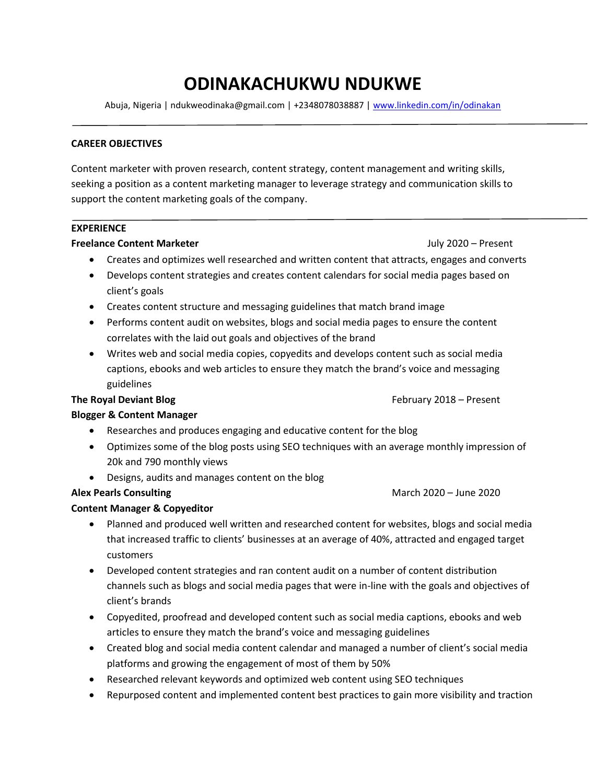# **ODINAKACHUKWU NDUKWE**

Abuja, Nigeria | ndukweodinaka@gmail.com | +2348078038887 |<www.linkedin.com/in/odinakan>

#### **CAREER OBJECTIVES**

Content marketer with proven research, content strategy, content management and writing skills, seeking a position as a content marketing manager to leverage strategy and communication skills to support the content marketing goals of the company.

### **EXPERIENCE**

#### **Freelance Content Marketer July 2020** – Present

- Creates and optimizes well researched and written content that attracts, engages and converts
- Develops content strategies and creates content calendars for social media pages based on client's goals
- Creates content structure and messaging guidelines that match brand image
- Performs content audit on websites, blogs and social media pages to ensure the content correlates with the laid out goals and objectives of the brand
- Writes web and social media copies, copyedits and develops content such as social media captions, ebooks and web articles to ensure they match the brand's voice and messaging guidelines

#### **The Royal Deviant Blog February 2018** – Present

#### **Blogger & Content Manager**

- Researches and produces engaging and educative content for the blog
- Optimizes some of the blog posts using SEO techniques with an average monthly impression of 20k and 790 monthly views
- Designs, audits and manages content on the blog

## **Alex Pearls Consulting March 2020 – June 2020**

#### **Content Manager & Copyeditor**

- Planned and produced well written and researched content for websites, blogs and social media that increased traffic to clients' businesses at an average of 40%, attracted and engaged target customers
- Developed content strategies and ran content audit on a number of content distribution channels such as blogs and social media pages that were in-line with the goals and objectives of client's brands
- Copyedited, proofread and developed content such as social media captions, ebooks and web articles to ensure they match the brand's voice and messaging guidelines
- Created blog and social media content calendar and managed a number of client's social media platforms and growing the engagement of most of them by 50%
- Researched relevant keywords and optimized web content using SEO techniques
- Repurposed content and implemented content best practices to gain more visibility and traction